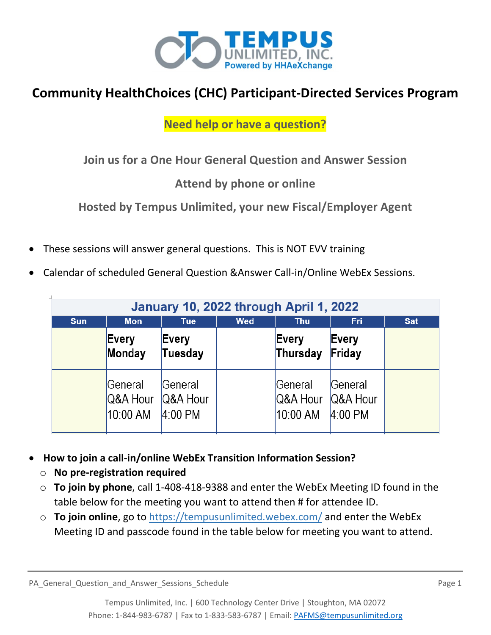

# **Community HealthChoices (CHC) Participant-Directed Services Program**

## **Need help or have a question?**

**Join us for a One Hour General Question and Answer Session**

## **Attend by phone or online**

**Hosted by Tempus Unlimited, your new Fiscal/Employer Agent**

- These sessions will answer general questions. This is NOT EVV training
- Calendar of scheduled General Question &Answer Call-in/Online WebEx Sessions.

| January 10, 2022 through April 1, 2022 |                                 |                                  |            |                                          |                      |            |
|----------------------------------------|---------------------------------|----------------------------------|------------|------------------------------------------|----------------------|------------|
| <b>Sun</b>                             | <b>Mon</b>                      | <b>Tue</b>                       | <b>Wed</b> | <b>Thu</b>                               | <b>Fri</b>           | <b>Sat</b> |
|                                        | Every<br>Monday                 | Every<br>Tuesday                 |            | Every<br>Thursday                        | Every<br>Friday      |            |
|                                        | General<br>Q&A Hour<br>10:00 AM | General<br>Q&A Hour<br>$4:00$ PM |            | General<br>Q&A Hour Q&A Hour<br>10:00 AM | General<br>$4:00$ PM |            |

- **How to join a call-in/online WebEx Transition Information Session?**
	- o **No pre-registration required**
	- o **To join by phone**, call 1-408-418-9388 and enter the WebEx Meeting ID found in the table below for the meeting you want to attend then # for attendee ID.
	- o **To join online**, go to<https://tempusunlimited.webex.com/> and enter the WebEx Meeting ID and passcode found in the table below for meeting you want to attend.

PA\_General\_Question\_and\_Answer\_Sessions\_Schedule Page 1